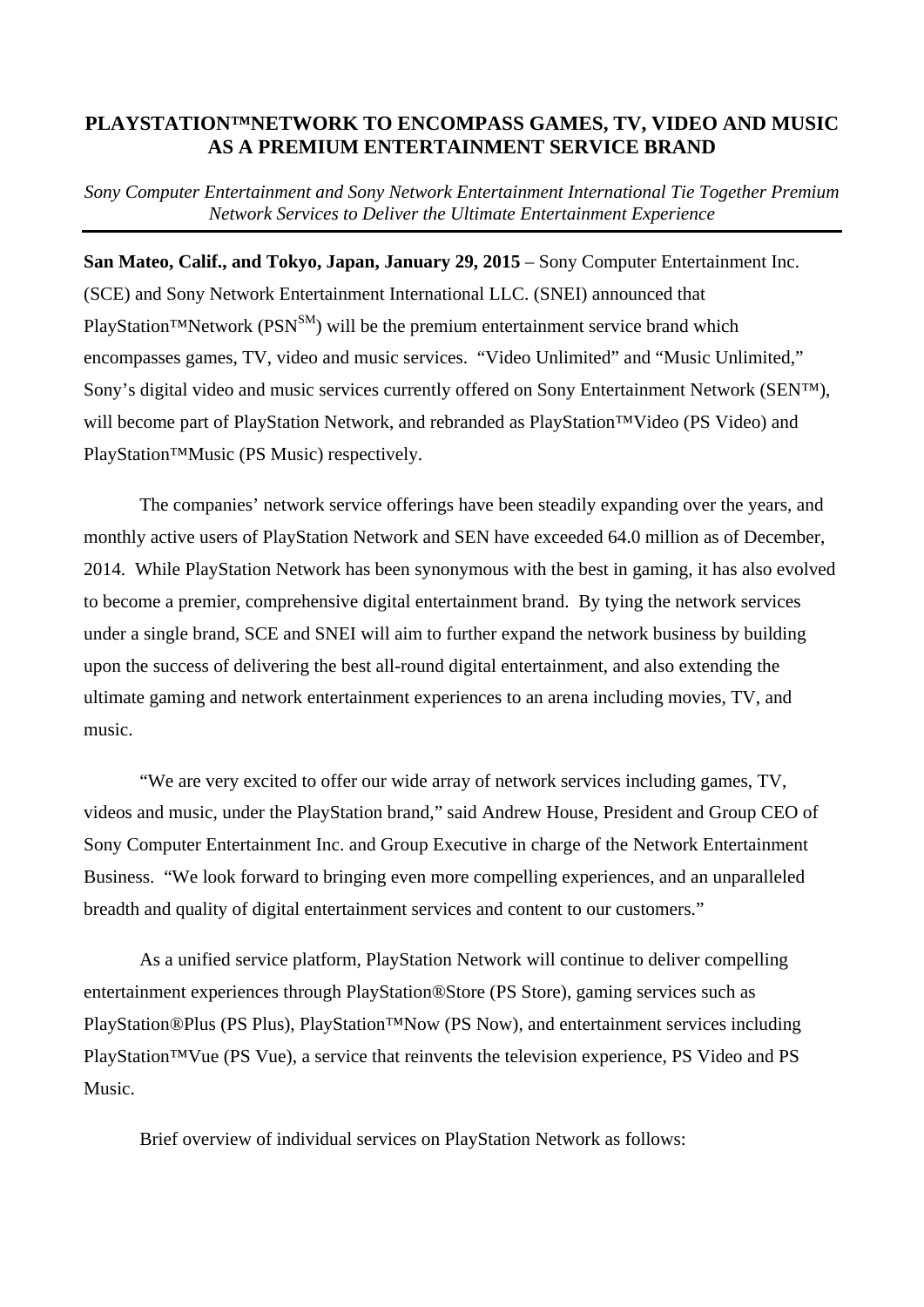## **PLAYSTATION™NETWORK TO ENCOMPASS GAMES, TV, VIDEO AND MUSIC AS A PREMIUM ENTERTAINMENT SERVICE BRAND**

*Sony Computer Entertainment and Sony Network Entertainment International Tie Together Premium Network Services to Deliver the Ultimate Entertainment Experience* 

**San Mateo, Calif., and Tokyo, Japan, January 29, 2015** – Sony Computer Entertainment Inc. (SCE) and Sony Network Entertainment International LLC. (SNEI) announced that PlayStation™Network (PSN<sup>SM</sup>) will be the premium entertainment service brand which encompasses games, TV, video and music services. "Video Unlimited" and "Music Unlimited," Sony's digital video and music services currently offered on Sony Entertainment Network (SEN™), will become part of PlayStation Network, and rebranded as PlayStation™Video (PS Video) and PlayStation™Music (PS Music) respectively.

The companies' network service offerings have been steadily expanding over the years, and monthly active users of PlayStation Network and SEN have exceeded 64.0 million as of December, 2014. While PlayStation Network has been synonymous with the best in gaming, it has also evolved to become a premier, comprehensive digital entertainment brand. By tying the network services under a single brand, SCE and SNEI will aim to further expand the network business by building upon the success of delivering the best all-round digital entertainment, and also extending the ultimate gaming and network entertainment experiences to an arena including movies, TV, and music.

"We are very excited to offer our wide array of network services including games, TV, videos and music, under the PlayStation brand," said Andrew House, President and Group CEO of Sony Computer Entertainment Inc. and Group Executive in charge of the Network Entertainment Business. "We look forward to bringing even more compelling experiences, and an unparalleled breadth and quality of digital entertainment services and content to our customers."

As a unified service platform, PlayStation Network will continue to deliver compelling entertainment experiences through PlayStation®Store (PS Store), gaming services such as PlayStation®Plus (PS Plus), PlayStation™Now (PS Now), and entertainment services including PlayStation™Vue (PS Vue), a service that reinvents the television experience, PS Video and PS Music.

Brief overview of individual services on PlayStation Network as follows: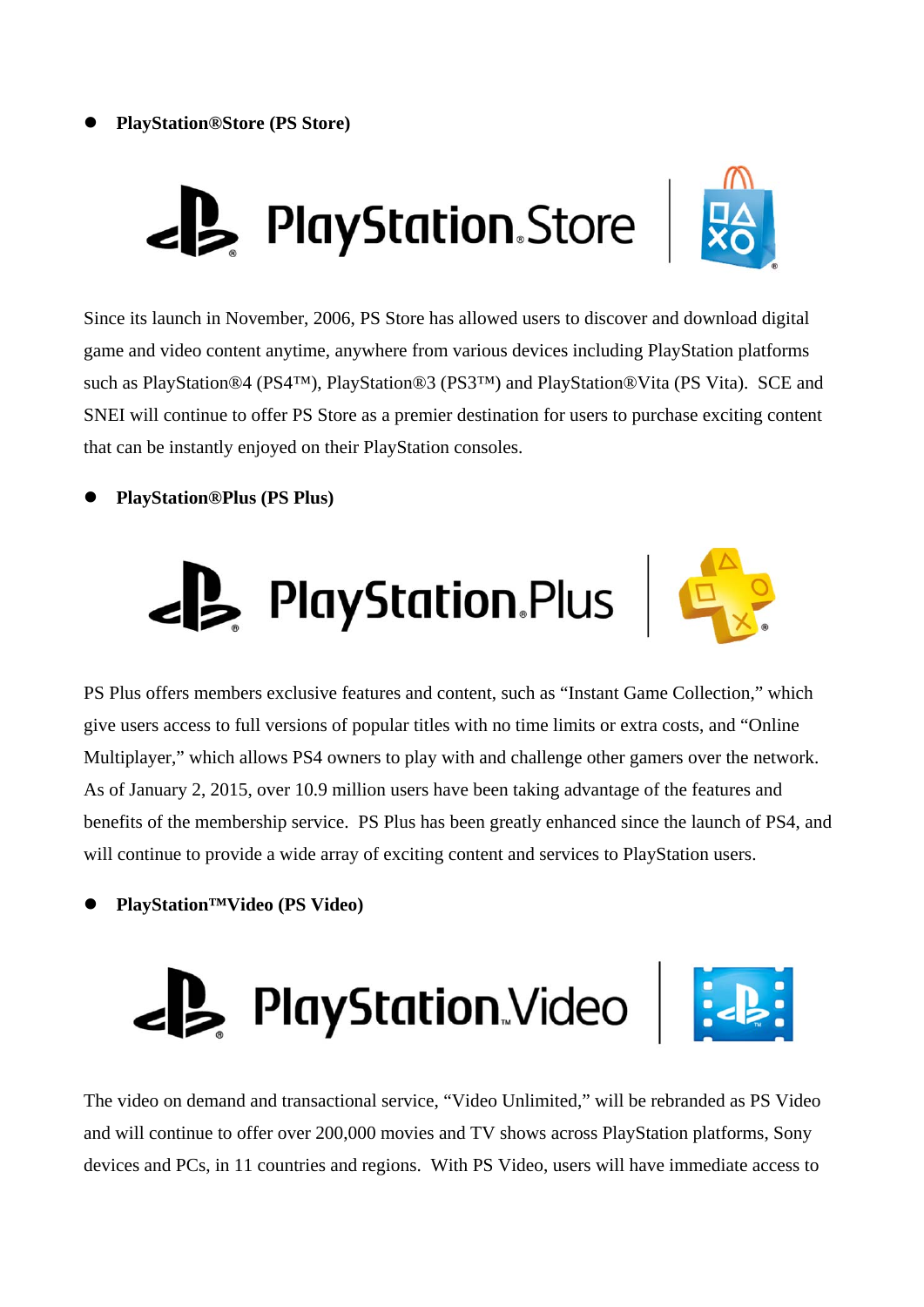



Since its launch in November, 2006, PS Store has allowed users to discover and download digital game and video content anytime, anywhere from various devices including PlayStation platforms such as PlayStation®4 (PS4™), PlayStation®3 (PS3™) and PlayStation®Vita (PS Vita). SCE and SNEI will continue to offer PS Store as a premier destination for users to purchase exciting content that can be instantly enjoyed on their PlayStation consoles.

### **PlayStation®Plus (PS Plus)**





PS Plus offers members exclusive features and content, such as "Instant Game Collection," which give users access to full versions of popular titles with no time limits or extra costs, and "Online Multiplayer," which allows PS4 owners to play with and challenge other gamers over the network. As of January 2, 2015, over 10.9 million users have been taking advantage of the features and benefits of the membership service. PS Plus has been greatly enhanced since the launch of PS4, and will continue to provide a wide array of exciting content and services to PlayStation users.

**PlayStation™Video (PS Video)** 





The video on demand and transactional service, "Video Unlimited," will be rebranded as PS Video and will continue to offer over 200,000 movies and TV shows across PlayStation platforms, Sony devices and PCs, in 11 countries and regions. With PS Video, users will have immediate access to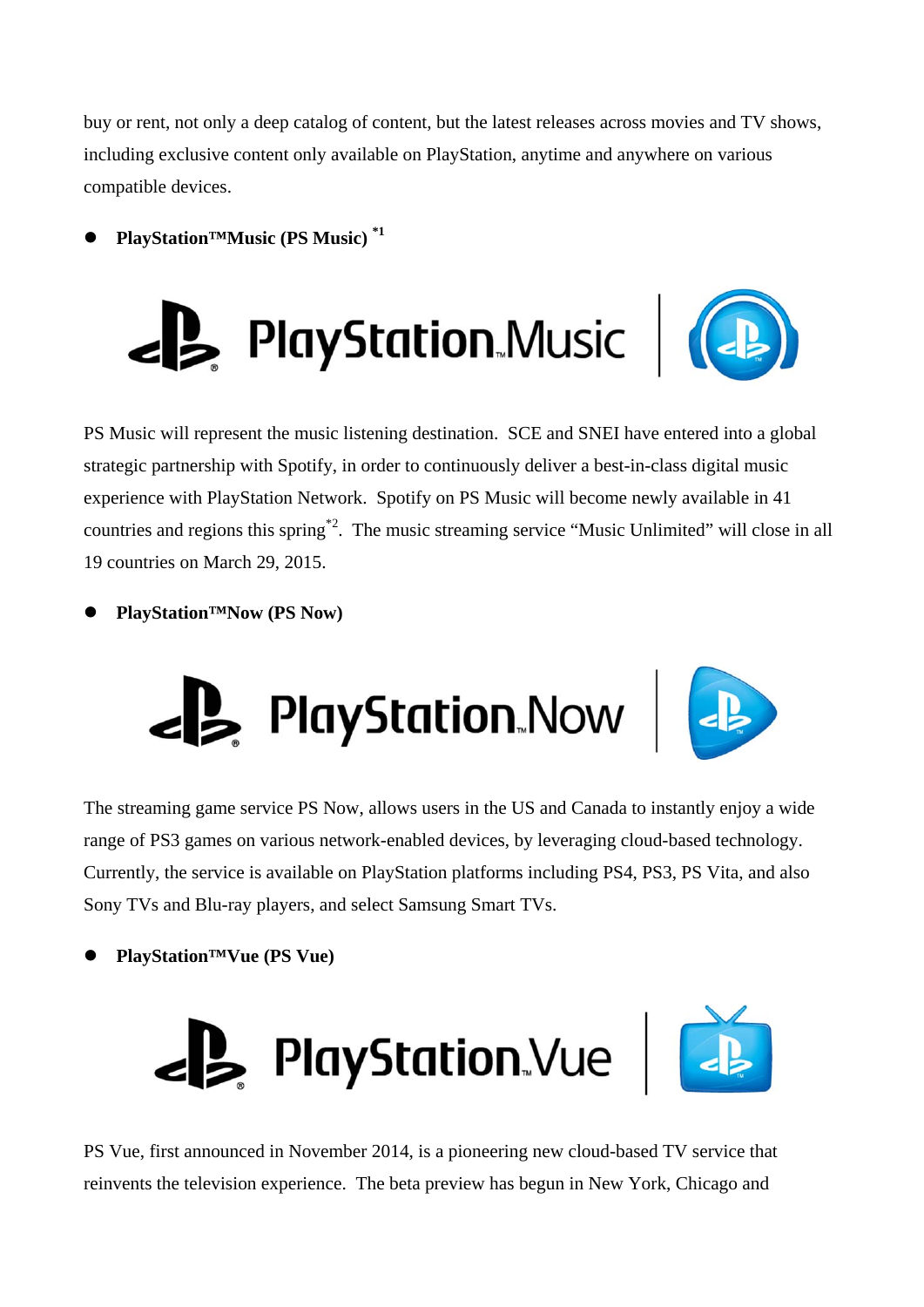buy or rent, not only a deep catalog of content, but the latest releases across movies and TV shows, including exclusive content only available on PlayStation, anytime and anywhere on various compatible devices.

**PlayStation™Music (PS Music) \*1**





PS Music will represent the music listening destination. SCE and SNEI have entered into a global strategic partnership with Spotify, in order to continuously deliver a best-in-class digital music experience with PlayStation Network. Spotify on PS Music will become newly available in 41 countries and regions this spring\*2. The music streaming service "Music Unlimited" will close in all 19 countries on March 29, 2015.

**PlayStation™Now (PS Now)** 





The streaming game service PS Now, allows users in the US and Canada to instantly enjoy a wide range of PS3 games on various network-enabled devices, by leveraging cloud-based technology. Currently, the service is available on PlayStation platforms including PS4, PS3, PS Vita, and also Sony TVs and Blu-ray players, and select Samsung Smart TVs.

# **PlayStation™Vue (PS Vue)**





PS Vue, first announced in November 2014, is a pioneering new cloud-based TV service that reinvents the television experience. The beta preview has begun in New York, Chicago and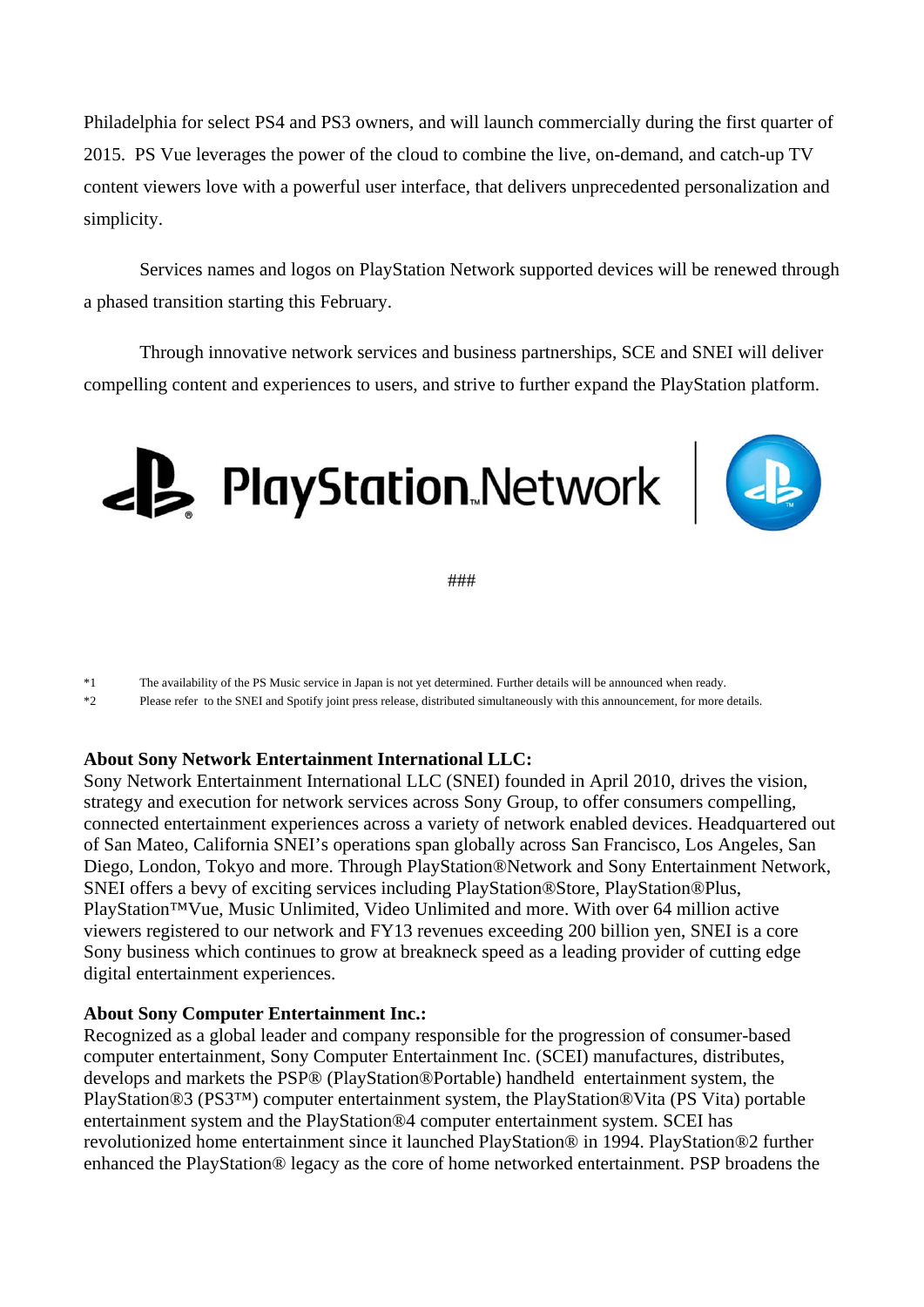Philadelphia for select PS4 and PS3 owners, and will launch commercially during the first quarter of 2015. PS Vue leverages the power of the cloud to combine the live, on-demand, and catch-up TV content viewers love with a powerful user interface, that delivers unprecedented personalization and simplicity.

Services names and logos on PlayStation Network supported devices will be renewed through a phased transition starting this February.

Through innovative network services and business partnerships, SCE and SNEI will deliver compelling content and experiences to users, and strive to further expand the PlayStation platform.





###

\*1 The availability of the PS Music service in Japan is not yet determined. Further details will be announced when ready.

\*2 Please refer to the SNEI and Spotify joint press release, distributed simultaneously with this announcement, for more details.

### **About Sony Network Entertainment International LLC:**

Sony Network Entertainment International LLC (SNEI) founded in April 2010, drives the vision, strategy and execution for network services across Sony Group, to offer consumers compelling, connected entertainment experiences across a variety of network enabled devices. Headquartered out of San Mateo, California SNEI's operations span globally across San Francisco, Los Angeles, San Diego, London, Tokyo and more. Through PlayStation®Network and Sony Entertainment Network, SNEI offers a bevy of exciting services including PlayStation®Store, PlayStation®Plus, PlayStation™Vue, Music Unlimited, Video Unlimited and more. With over 64 million active viewers registered to our network and FY13 revenues exceeding 200 billion yen, SNEI is a core Sony business which continues to grow at breakneck speed as a leading provider of cutting edge digital entertainment experiences.

#### **About Sony Computer Entertainment Inc.:**

Recognized as a global leader and company responsible for the progression of consumer-based computer entertainment, Sony Computer Entertainment Inc. (SCEI) manufactures, distributes, develops and markets the PSP® (PlayStation®Portable) handheld entertainment system, the PlayStation®3 (PS3™) computer entertainment system, the PlayStation®Vita (PS Vita) portable entertainment system and the PlayStation®4 computer entertainment system. SCEI has revolutionized home entertainment since it launched PlayStation® in 1994. PlayStation®2 further enhanced the PlayStation® legacy as the core of home networked entertainment. PSP broadens the